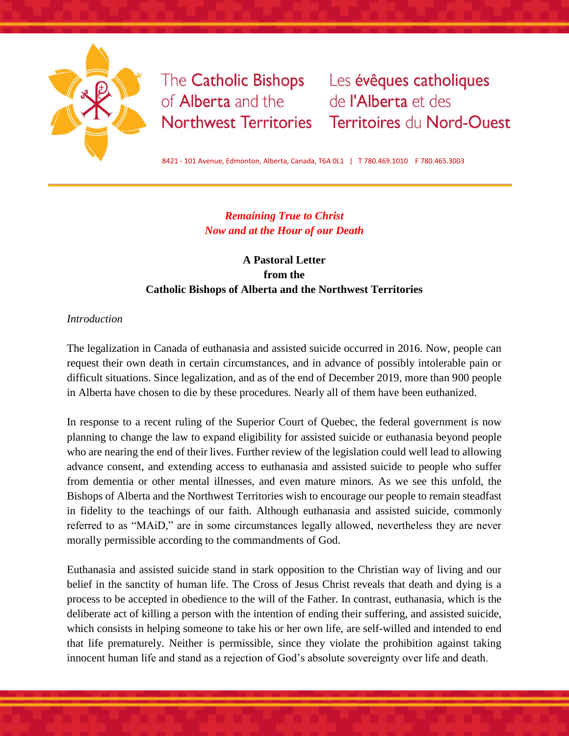

of **Alberta** and the de l'Alberta et des

The Catholic Bishops Les évêques catholiques Northwest Territories Territoires du Nord-Ouest

8421 - 101 Avenue, Edmonton, Alberta, Canada, T6A 0L1 | T 780.469.1010 F 780.465.3003

# *Remaining True to Christ Now and at the Hour of our Death*

# **A Pastoral Letter from the Catholic Bishops of Alberta and the Northwest Territories**

## *Introduction*

The legalization in Canada of euthanasia and assisted suicide occurred in 2016. Now, people can request their own death in certain circumstances, and in advance of possibly intolerable pain or difficult situations. Since legalization, and as of the end of December 2019, more than 900 people in Alberta have chosen to die by these procedures. Nearly all of them have been euthanized.

In response to a recent ruling of the Superior Court of Quebec, the federal government is now planning to change the law to expand eligibility for assisted suicide or euthanasia beyond people who are nearing the end of their lives. Further review of the legislation could well lead to allowing advance consent, and extending access to euthanasia and assisted suicide to people who suffer from dementia or other mental illnesses, and even mature minors. As we see this unfold, the Bishops of Alberta and the Northwest Territories wish to encourage our people to remain steadfast in fidelity to the teachings of our faith. Although euthanasia and assisted suicide, commonly referred to as "MAiD," are in some circumstances legally allowed, nevertheless they are never morally permissible according to the commandments of God.

Euthanasia and assisted suicide stand in stark opposition to the Christian way of living and our belief in the sanctity of human life. The Cross of Jesus Christ reveals that death and dying is a process to be accepted in obedience to the will of the Father. In contrast, euthanasia, which is the deliberate act of killing a person with the intention of ending their suffering, and assisted suicide, which consists in helping someone to take his or her own life, are self-willed and intended to end that life prematurely. Neither is permissible, since they violate the prohibition against taking innocent human life and stand as a rejection of God's absolute sovereignty over life and death.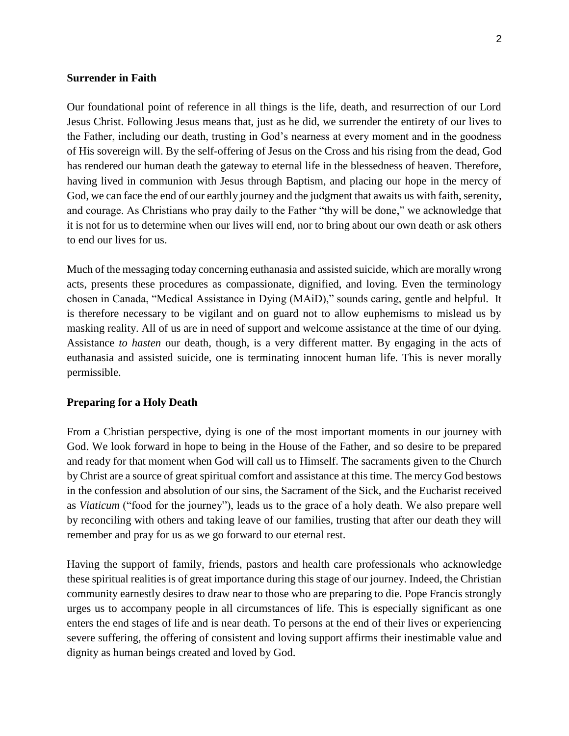### **Surrender in Faith**

Our foundational point of reference in all things is the life, death, and resurrection of our Lord Jesus Christ. Following Jesus means that, just as he did, we surrender the entirety of our lives to the Father, including our death, trusting in God's nearness at every moment and in the goodness of His sovereign will. By the self-offering of Jesus on the Cross and his rising from the dead, God has rendered our human death the gateway to eternal life in the blessedness of heaven. Therefore, having lived in communion with Jesus through Baptism, and placing our hope in the mercy of God, we can face the end of our earthly journey and the judgment that awaits us with faith, serenity, and courage. As Christians who pray daily to the Father "thy will be done," we acknowledge that it is not for us to determine when our lives will end, nor to bring about our own death or ask others to end our lives for us.

Much of the messaging today concerning euthanasia and assisted suicide, which are morally wrong acts, presents these procedures as compassionate, dignified, and loving. Even the terminology chosen in Canada, "Medical Assistance in Dying (MAiD)," sounds caring, gentle and helpful. It is therefore necessary to be vigilant and on guard not to allow euphemisms to mislead us by masking reality. All of us are in need of support and welcome assistance at the time of our dying. Assistance *to hasten* our death, though, is a very different matter. By engaging in the acts of euthanasia and assisted suicide, one is terminating innocent human life. This is never morally permissible.

### **Preparing for a Holy Death**

From a Christian perspective, dying is one of the most important moments in our journey with God. We look forward in hope to being in the House of the Father, and so desire to be prepared and ready for that moment when God will call us to Himself. The sacraments given to the Church by Christ are a source of great spiritual comfort and assistance at this time. The mercy God bestows in the confession and absolution of our sins, the Sacrament of the Sick, and the Eucharist received as *Viaticum* ("food for the journey"), leads us to the grace of a holy death. We also prepare well by reconciling with others and taking leave of our families, trusting that after our death they will remember and pray for us as we go forward to our eternal rest.

Having the support of family, friends, pastors and health care professionals who acknowledge these spiritual realities is of great importance during this stage of our journey. Indeed, the Christian community earnestly desires to draw near to those who are preparing to die. Pope Francis strongly urges us to accompany people in all circumstances of life. This is especially significant as one enters the end stages of life and is near death. To persons at the end of their lives or experiencing severe suffering, the offering of consistent and loving support affirms their inestimable value and dignity as human beings created and loved by God.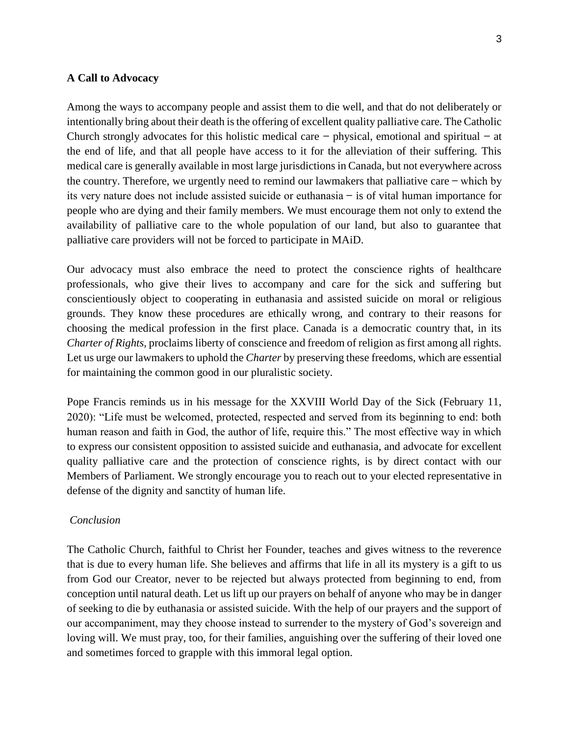#### **A Call to Advocacy**

Among the ways to accompany people and assist them to die well, and that do not deliberately or intentionally bring about their death is the offering of excellent quality palliative care. The Catholic Church strongly advocates for this holistic medical care  $-$  physical, emotional and spiritual  $-$  at the end of life, and that all people have access to it for the alleviation of their suffering. This medical care is generally available in most large jurisdictions in Canada, but not everywhere across the country. Therefore, we urgently need to remind our lawmakers that palliative care ̶ which by its very nature does not include assisted suicide or euthanasia ̶ is of vital human importance for people who are dying and their family members. We must encourage them not only to extend the availability of palliative care to the whole population of our land, but also to guarantee that palliative care providers will not be forced to participate in MAiD.

Our advocacy must also embrace the need to protect the conscience rights of healthcare professionals, who give their lives to accompany and care for the sick and suffering but conscientiously object to cooperating in euthanasia and assisted suicide on moral or religious grounds. They know these procedures are ethically wrong, and contrary to their reasons for choosing the medical profession in the first place. Canada is a democratic country that, in its *Charter of Rights*, proclaims liberty of conscience and freedom of religion as first among all rights. Let us urge our lawmakers to uphold the *Charter* by preserving these freedoms, which are essential for maintaining the common good in our pluralistic society.

Pope Francis reminds us in his message for the XXVIII World Day of the Sick (February 11, 2020): "Life must be welcomed, protected, respected and served from its beginning to end: both human reason and faith in God, the author of life, require this." The most effective way in which to express our consistent opposition to assisted suicide and euthanasia, and advocate for excellent quality palliative care and the protection of conscience rights, is by direct contact with our Members of Parliament. We strongly encourage you to reach out to your elected representative in defense of the dignity and sanctity of human life.

#### *Conclusion*

The Catholic Church, faithful to Christ her Founder, teaches and gives witness to the reverence that is due to every human life. She believes and affirms that life in all its mystery is a gift to us from God our Creator, never to be rejected but always protected from beginning to end, from conception until natural death. Let us lift up our prayers on behalf of anyone who may be in danger of seeking to die by euthanasia or assisted suicide. With the help of our prayers and the support of our accompaniment, may they choose instead to surrender to the mystery of God's sovereign and loving will. We must pray, too, for their families, anguishing over the suffering of their loved one and sometimes forced to grapple with this immoral legal option.